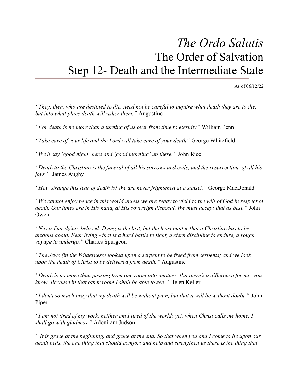# The Ordo Salutis The Order of Salvation Step 12- Death and the Intermediate State

As of 06/12/22

"They, then, who are destined to die, need not be careful to inquire what death they are to die, but into what place death will usher them." Augustine

"For death is no more than a turning of us over from time to eternity" William Penn

"Take care of your life and the Lord will take care of your death" George Whitefield

"We'll say 'good night' here and 'good morning' up there." John Rice

"Death to the Christian is the funeral of all his sorrows and evils, and the resurrection, of all his joys." James Aughy

"How strange this fear of death is! We are never frightened at a sunset." George MacDonald

"We cannot enjoy peace in this world unless we are ready to yield to the will of God in respect of death. Our times are in His hand, at His sovereign disposal. We must accept that as best." John Owen

"Never fear dying, beloved. Dying is the last, but the least matter that a Christian has to be anxious about. Fear living - that is a hard battle to fight, a stern discipline to endure, a rough voyage to undergo." Charles Spurgeon

"The Jews (in the Wilderness) looked upon a serpent to be freed from serpents; and we look upon the death of Christ to be delivered from death." Augustine

"Death is no more than passing from one room into another. But there's a difference for me, you know. Because in that other room I shall be able to see." Helen Keller

"I don't so much pray that my death will be without pain, but that it will be without doubt." John Piper

"I am not tired of my work, neither am I tired of the world; yet, when Christ calls me home, I shall go with gladness." Adoniram Judson

" It is grace at the beginning, and grace at the end. So that when you and I come to lie upon our death beds, the one thing that should comfort and help and strengthen us there is the thing that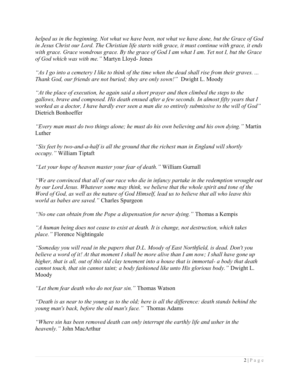helped us in the beginning. Not what we have been, not what we have done, but the Grace of God in Jesus Christ our Lord. The Christian life starts with grace, it must continue with grace, it ends with grace. Grace wondrous grace. By the grace of God I am what I am. Yet not I, but the Grace of God which was with me." Martyn Lloyd- Jones

"As I go into a cemetery I like to think of the time when the dead shall rise from their graves. ... Thank God, our friends are not buried; they are only sown!" Dwight L. Moody

"At the place of execution, he again said a short prayer and then climbed the steps to the gallows, brave and composed. His death ensued after a few seconds. In almost fifty years that I worked as a doctor, I have hardly ever seen a man die so entirely submissive to the will of God" Dietrich Bonhoeffer

"Every man must do two things alone; he must do his own believing and his own dying." Martin **Luther** 

"Six feet by two-and-a-half is all the ground that the richest man in England will shortly occupy." William Tiptaft

"Let your hope of heaven master your fear of death." William Gurnall

"We are convinced that all of our race who die in infancy partake in the redemption wrought out by our Lord Jesus. Whatever some may think, we believe that the whole spirit and tone of the Word of God, as well as the nature of God Himself, lead us to believe that all who leave this world as babes are saved." Charles Spurgeon

"No one can obtain from the Pope a dispensation for never dying." Thomas a Kempis

"A human being does not cease to exist at death. It is change, not destruction, which takes place." Florence Nightingale

"Someday you will read in the papers that D.L. Moody of East Northfield, is dead. Don't you believe a word of it! At that moment I shall be more alive than I am now; I shall have gone up higher, that is all, out of this old clay tenement into a house that is immortal- a body that death cannot touch, that sin cannot taint; a body fashioned like unto His glorious body." Dwight L. Moody

"Let them fear death who do not fear sin." Thomas Watson

"Death is as near to the young as to the old; here is all the difference: death stands behind the young man's back, before the old man's face." Thomas Adams

"Where sin has been removed death can only interrupt the earthly life and usher in the heavenly." John MacArthur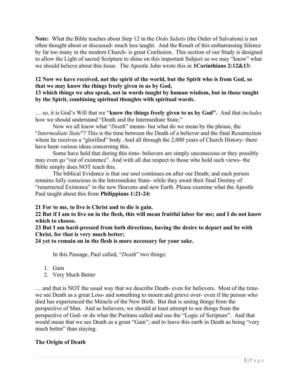Note: What the Bible teaches about Step 12 in the Ordo Salutis (the Order of Salvation) is not often thought about or discussed- much less taught. And the Result of this embarrassing Silence by far too many in the modern Church- is great Confusion. This section of our Study is designed to allow the Light of sacred Scripture to shine on this important Subject so we may "know" what we should believe about this Issue. The Apostle John wrote this in 1Corinthians 2:12&13:

# 12 Now we have received, not the spirit of the world, but the Spirit who is from God, so that we may know the things freely given to us by God,

#### 13 which things we also speak, not in words taught by human wisdom, but in those taught by the Spirit, combining spiritual thoughts with spiritual words.

... so, it is God's Will that we "know the things freely given to us by God". And that *includes* how we should understand "Death and the Intermediate State."

Now we all know what "*Death*" means- but what do we mean by the phrase, the "Intermediate State"? This is the time between the Death of a believer and the final Resurrection where he receives a "glorified" body. And all through the 2,000 years of Church History- there have been various ideas concerning this.

Some have held that during this time- believers are simply unconscious or they possibly may even go "out of existence". And with all due respect to those who hold such views- the Bible simply does NOT teach this.

The biblical Evidence is that our soul continues on after our Death; and each person remains fully conscious in the Intermediate State- while they await their final Destiny of "resurrected Existence" in the new Heavens and new Earth. Please examine what the Apostle Paul taught about this from Philippians 1:21-24:

21 For to me, to live is Christ and to die is gain.

22 But if I am to live on in the flesh, this will mean fruitful labor for me; and I do not know which to choose.

23 But I am hard-pressed from both directions, having the desire to depart and be with Christ, for that is very much better;

24 yet to remain on in the flesh is more necessary for your sake.

In this Passage, Paul called, "Death" two things:

- 1. Gain
- 2. Very Much Better

… and that is NOT the usual way that we describe Death- even for believers. Most of the timewe see Death as a great Loss- and something to mourn and grieve over- even if the person who died has experienced the Miracle of the New Birth. But that is seeing things from the perspective of Man. And as believers, we should at least attempt to see things from the perspective of God- or do what the Puritans called and use the "Logic of Scripture". And that would mean that we see Death as a great "Gain"; and to leave this earth in Death as being "very much better" than staying.

# The Origin of Death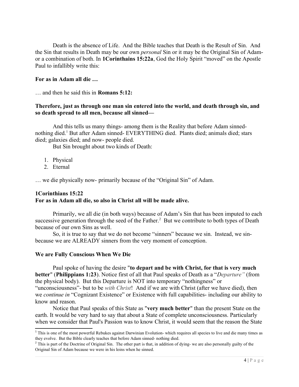Death is the absence of Life. And the Bible teaches that Death is the Result of Sin. And the Sin that results in Death may be our own *personal* Sin or it may be the Original Sin of Adamor a combination of both. In 1Corinthains 15:22a, God the Holy Spirit "moved" on the Apostle Paul to infallibly write this:

#### For as in Adam all die …

… and then he said this in Romans 5:12:

#### Therefore, just as through one man sin entered into the world, and death through sin, and so death spread to all men, because all sinned—

And this tells us many things- among them is the Reality that before Adam sinnednothing died.<sup>1</sup> But after Adam sinned- EVERYTHING died. Plants died; animals died; stars died; galaxies died; and now- people died.

But Sin brought about two kinds of Death:

- 1. Physical
- 2. Eternal

… we die physically now- primarily because of the "Original Sin" of Adam.

#### 1Corinthians 15:22 For as in Adam all die, so also in Christ all will be made alive.

Primarily, we all die (in both ways) because of Adam's Sin that has been imputed to each successive generation through the seed of the Father.<sup>2</sup> But we contribute to both types of Death because of our own Sins as well.

So, it is true to say that we do not become "sinners" because we sin. Instead, we sinbecause we are ALREADY sinners from the very moment of conception.

#### We are Fully Conscious When We Die

Paul spoke of having the desire "to depart and be with Christ, for that is very much better" (Philippians 1:23). Notice first of all that Paul speaks of Death as a "Departure" (from the physical body). But this Departure is NOT into temporary "nothingness" or "unconsciousness"- but to be *with Christ*! And if we are with Christ (after we have died), then we *continue in* "Cognizant Existence" or Existence with full capabilities- including our ability to know and reason.

Notice that Paul speaks of this State as "very much better" than the present State on the earth. It would be very hard to say that about a State of complete unconsciousness. Particularly when we consider that Paul's Passion was to know Christ, it would seem that the reason the State

<sup>&</sup>lt;sup>1</sup> This is one of the most powerful Rebukes against Darwinian Evolution-which requires all species to live and die many times as they evolve. But the Bible clearly teaches that before Adam sinned- nothing died.

<sup>&</sup>lt;sup>2</sup> This is part of the Doctrine of Original Sin. The other part is that, in addition of dying- we are also personally guilty of the Original Sin of Adam because we were in his loins when he sinned.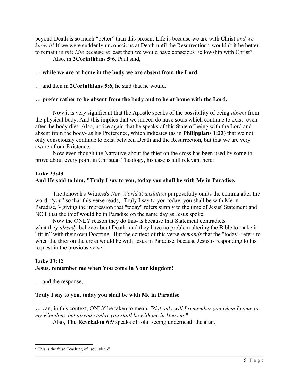beyond Death is so much "better" than this present Life is because we are with Christ and we know it! If we were suddenly unconscious at Death until the Resurrection<sup>3</sup>, wouldn't it be better to remain in this Life because at least then we would have conscious Fellowship with Christ?

Also, in 2Corinthians 5:6, Paul said,

## … while we are at home in the body we are absent from the Lord—

… and then in 2Corinthians 5:6, he said that he would,

#### … prefer rather to be absent from the body and to be at home with the Lord.

Now it is very significant that the Apostle speaks of the possibility of being absent from the physical body. And this implies that we indeed do have souls which continue to exist- even after the body dies. Also, notice again that he speaks of this State of being with the Lord and absent from the body- as his Preference, which indicates (as in Philippians 1:23) that we not only consciously continue to exist between Death and the Resurrection, but that we are very aware of our Existence.

Now even though the Narrative about the thief on the cross has been used by some to prove about every point in Christian Theology, his case is still relevant here:

## Luke 23:43 And He said to him, "Truly I say to you, today you shall be with Me in Paradise.

The Jehovah's Witness's New World Translation purposefully omits the comma after the word, "you" so that this verse reads, "Truly I say to you today, you shall be with Me in Paradise,"- giving the impression that "today" refers simply to the time of Jesus' Statement and NOT that the thief would be in Paradise on the same day as Jesus spoke.

Now the ONLY reason they do this- is because that Statement contradicts what they *already* believe about Death- and they have no problem altering the Bible to make it "fit in" with their own Doctrine. But the context of this verse *demands* that the "today" refers to when the thief on the cross would be with Jesus in Paradise, because Jesus is responding to his request in the previous verse:

## Luke 23:42 Jesus, remember me when You come in Your kingdom!

… and the response,

#### Truly I say to you, today you shall be with Me in Paradise

… can, in this context, ONLY be taken to mean, "Not only will I remember you when I come in my Kingdom, but already today you shall be with me in Heaven."

Also, The Revelation 6:9 speaks of John seeing underneath the altar,

<sup>&</sup>lt;sup>3</sup> This is the false Teaching of "soul sleep"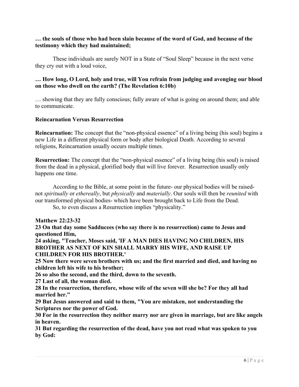## … the souls of those who had been slain because of the word of God, and because of the testimony which they had maintained;

These individuals are surely NOT in a State of "Soul Sleep" because in the next verse they cry out with a loud voice,

## … How long, O Lord, holy and true, will You refrain from judging and avenging our blood on those who dwell on the earth? (The Revelation 6:10b)

… showing that they are fully conscious; fully aware of what is going on around them; and able to communicate.

## Reincarnation Versus Resurrection

Reincarnation: The concept that the "non-physical essence" of a living being (his soul) begins a new Life in a different physical form or body after biological Death. According to several religions, Reincarnation usually occurs multiple times.

Resurrection: The concept that the "non-physical essence" of a living being (his soul) is raised from the dead in a physical, glorified body that will live forever. Resurrection usually only happens one time.

According to the Bible, at some point in the future- our physical bodies will be raisednot spiritually or ethereally, but physically and materially. Our souls will then be reunited with our transformed physical bodies- which have been brought back to Life from the Dead.

So, to even discuss a Resurrection implies "physicality."

Matthew 22:23-32

23 On that day some Sadducees (who say there is no resurrection) came to Jesus and questioned Him,

24 asking, "Teacher, Moses said, 'IF A MAN DIES HAVING NO CHILDREN, HIS BROTHER AS NEXT OF KIN SHALL MARRY HIS WIFE, AND RAISE UP CHILDREN FOR HIS BROTHER.'

25 Now there were seven brothers with us; and the first married and died, and having no children left his wife to his brother;

26 so also the second, and the third, down to the seventh.

27 Last of all, the woman died.

28 In the resurrection, therefore, whose wife of the seven will she be? For they all had married her."

29 But Jesus answered and said to them, "You are mistaken, not understanding the Scriptures nor the power of God.

30 For in the resurrection they neither marry nor are given in marriage, but are like angels in heaven.

31 But regarding the resurrection of the dead, have you not read what was spoken to you by God: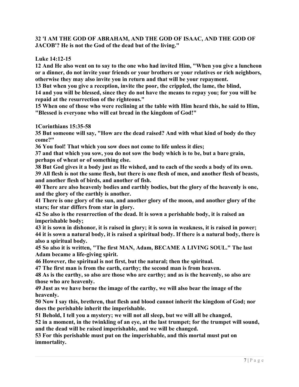## 32 'I AM THE GOD OF ABRAHAM, AND THE GOD OF ISAAC, AND THE GOD OF JACOB'? He is not the God of the dead but of the living."

Luke 14:12-15

12 And He also went on to say to the one who had invited Him, "When you give a luncheon or a dinner, do not invite your friends or your brothers or your relatives or rich neighbors, otherwise they may also invite you in return and that will be your repayment.

13 But when you give a reception, invite the poor, the crippled, the lame, the blind, 14 and you will be blessed, since they do not have the means to repay you; for you will be repaid at the resurrection of the righteous."

15 When one of those who were reclining at the table with Him heard this, he said to Him, "Blessed is everyone who will eat bread in the kingdom of God!"

1Corinthians 15:35-58

35 But someone will say, "How are the dead raised? And with what kind of body do they come?"

36 You fool! That which you sow does not come to life unless it dies;

37 and that which you sow, you do not sow the body which is to be, but a bare grain, perhaps of wheat or of something else.

38 But God gives it a body just as He wished, and to each of the seeds a body of its own. 39 All flesh is not the same flesh, but there is one flesh of men, and another flesh of beasts, and another flesh of birds, and another of fish.

40 There are also heavenly bodies and earthly bodies, but the glory of the heavenly is one, and the glory of the earthly is another.

41 There is one glory of the sun, and another glory of the moon, and another glory of the stars; for star differs from star in glory.

42 So also is the resurrection of the dead. It is sown a perishable body, it is raised an imperishable body;

43 it is sown in dishonor, it is raised in glory; it is sown in weakness, it is raised in power; 44 it is sown a natural body, it is raised a spiritual body. If there is a natural body, there is also a spiritual body.

45 So also it is written, "The first MAN, Adam, BECAME A LIVING SOUL." The last Adam became a life-giving spirit.

46 However, the spiritual is not first, but the natural; then the spiritual.

47 The first man is from the earth, earthy; the second man is from heaven.

48 As is the earthy, so also are those who are earthy; and as is the heavenly, so also are those who are heavenly.

49 Just as we have borne the image of the earthy, we will also bear the image of the heavenly.

50 Now I say this, brethren, that flesh and blood cannot inherit the kingdom of God; nor does the perishable inherit the imperishable.

51 Behold, I tell you a mystery; we will not all sleep, but we will all be changed,

52 in a moment, in the twinkling of an eye, at the last trumpet; for the trumpet will sound, and the dead will be raised imperishable, and we will be changed.

53 For this perishable must put on the imperishable, and this mortal must put on immortality.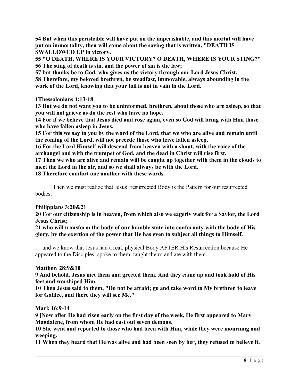54 But when this perishable will have put on the imperishable, and this mortal will have put on immortality, then will come about the saying that is written, "DEATH IS SWALLOWED UP in victory.

55 "O DEATH, WHERE IS YOUR VICTORY? O DEATH, WHERE IS YOUR STING?" 56 The sting of death is sin, and the power of sin is the law;

57 but thanks be to God, who gives us the victory through our Lord Jesus Christ. 58 Therefore, my beloved brethren, be steadfast, immovable, always abounding in the work of the Lord, knowing that your toil is not in vain in the Lord.

1Thessalonians 4:13-18

13 But we do not want you to be uninformed, brethren, about those who are asleep, so that you will not grieve as do the rest who have no hope.

14 For if we believe that Jesus died and rose again, even so God will bring with Him those who have fallen asleep in Jesus.

15 For this we say to you by the word of the Lord, that we who are alive and remain until the coming of the Lord, will not precede those who have fallen asleep.

16 For the Lord Himself will descend from heaven with a shout, with the voice of the archangel and with the trumpet of God, and the dead in Christ will rise first.

17 Then we who are alive and remain will be caught up together with them in the clouds to meet the Lord in the air, and so we shall always be with the Lord.

18 Therefore comfort one another with these words.

Then we must realize that Jesus' resurrected Body is the Pattern for our resurrected bodies.

# Philippians 3:20&21

20 For our citizenship is in heaven, from which also we eagerly wait for a Savior, the Lord Jesus Christ;

21 who will transform the body of our humble state into conformity with the body of His glory, by the exertion of the power that He has even to subject all things to Himself.

… and we know that Jesus had a real, physical Body AFTER His Resurrection because He appeared to the Disciples; spoke to them; taught them; and ate with them.

#### Matthew 28:9&10

9 And behold, Jesus met them and greeted them. And they came up and took hold of His feet and worshiped Him.

10 Then Jesus said to them, "Do not be afraid; go and take word to My brethren to leave for Galilee, and there they will see Me."

Mark 16:9-14

9 [Now after He had risen early on the first day of the week, He first appeared to Mary Magdalene, from whom He had cast out seven demons.

10 She went and reported to those who had been with Him, while they were mourning and weeping.

11 When they heard that He was alive and had been seen by her, they refused to believe it.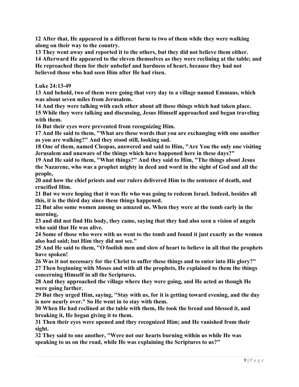12 After that, He appeared in a different form to two of them while they were walking along on their way to the country.

13 They went away and reported it to the others, but they did not believe them either. 14 Afterward He appeared to the eleven themselves as they were reclining at the table; and He reproached them for their unbelief and hardness of heart, because they had not believed those who had seen Him after He had risen.

Luke 24:13-49

13 And behold, two of them were going that very day to a village named Emmaus, which was about seven miles from Jerusalem.

14 And they were talking with each other about all these things which had taken place. 15 While they were talking and discussing, Jesus Himself approached and began traveling with them.

16 But their eyes were prevented from recognizing Him.

17 And He said to them, "What are these words that you are exchanging with one another as you are walking?" And they stood still, looking sad.

18 One of them, named Cleopas, answered and said to Him, "Are You the only one visiting Jerusalem and unaware of the things which have happened here in these days?"

19 And He said to them, "What things?" And they said to Him, "The things about Jesus the Nazarene, who was a prophet mighty in deed and word in the sight of God and all the people,

20 and how the chief priests and our rulers delivered Him to the sentence of death, and crucified Him.

21 But we were hoping that it was He who was going to redeem Israel. Indeed, besides all this, it is the third day since these things happened.

22 But also some women among us amazed us. When they were at the tomb early in the morning,

23 and did not find His body, they came, saying that they had also seen a vision of angels who said that He was alive.

24 Some of those who were with us went to the tomb and found it just exactly as the women also had said; but Him they did not see."

25 And He said to them, "O foolish men and slow of heart to believe in all that the prophets have spoken!

26 Was it not necessary for the Christ to suffer these things and to enter into His glory?" 27 Then beginning with Moses and with all the prophets, He explained to them the things concerning Himself in all the Scriptures.

28 And they approached the village where they were going, and He acted as though He were going farther.

29 But they urged Him, saying, "Stay with us, for it is getting toward evening, and the day is now nearly over." So He went in to stay with them.

30 When He had reclined at the table with them, He took the bread and blessed it, and breaking it, He began giving it to them.

31 Then their eyes were opened and they recognized Him; and He vanished from their sight.

32 They said to one another, "Were not our hearts burning within us while He was speaking to us on the road, while He was explaining the Scriptures to us?"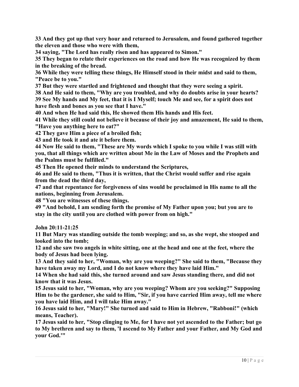33 And they got up that very hour and returned to Jerusalem, and found gathered together the eleven and those who were with them,

34 saying, "The Lord has really risen and has appeared to Simon."

35 They began to relate their experiences on the road and how He was recognized by them in the breaking of the bread.

36 While they were telling these things, He Himself stood in their midst and said to them, "Peace be to you."

37 But they were startled and frightened and thought that they were seeing a spirit. 38 And He said to them, "Why are you troubled, and why do doubts arise in your hearts? 39 See My hands and My feet, that it is I Myself; touch Me and see, for a spirit does not have flesh and bones as you see that I have."

40 And when He had said this, He showed them His hands and His feet.

41 While they still could not believe it because of their joy and amazement, He said to them, "Have you anything here to eat?"

42 They gave Him a piece of a broiled fish;

43 and He took it and ate it before them.

44 Now He said to them, "These are My words which I spoke to you while I was still with you, that all things which are written about Me in the Law of Moses and the Prophets and the Psalms must be fulfilled."

45 Then He opened their minds to understand the Scriptures,

46 and He said to them, "Thus it is written, that the Christ would suffer and rise again from the dead the third day,

47 and that repentance for forgiveness of sins would be proclaimed in His name to all the nations, beginning from Jerusalem.

48 "You are witnesses of these things.

49 "And behold, I am sending forth the promise of My Father upon you; but you are to stay in the city until you are clothed with power from on high."

John 20:11-21:25

11 But Mary was standing outside the tomb weeping; and so, as she wept, she stooped and looked into the tomb;

12 and she saw two angels in white sitting, one at the head and one at the feet, where the body of Jesus had been lying.

13 And they said to her, "Woman, why are you weeping?" She said to them, "Because they have taken away my Lord, and I do not know where they have laid Him."

14 When she had said this, she turned around and saw Jesus standing there, and did not know that it was Jesus.

15 Jesus said to her, "Woman, why are you weeping? Whom are you seeking?" Supposing Him to be the gardener, she said to Him, "Sir, if you have carried Him away, tell me where you have laid Him, and I will take Him away."

16 Jesus said to her, "Mary!" She turned and said to Him in Hebrew, "Rabboni!" (which means, Teacher).

17 Jesus said to her, "Stop clinging to Me, for I have not yet ascended to the Father; but go to My brethren and say to them, 'I ascend to My Father and your Father, and My God and your God.'"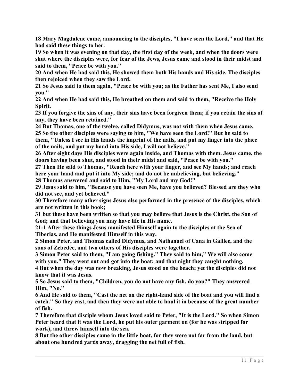18 Mary Magdalene came, announcing to the disciples, "I have seen the Lord," and that He had said these things to her.

19 So when it was evening on that day, the first day of the week, and when the doors were shut where the disciples were, for fear of the Jews, Jesus came and stood in their midst and said to them, "Peace be with you."

20 And when He had said this, He showed them both His hands and His side. The disciples then rejoiced when they saw the Lord.

21 So Jesus said to them again, "Peace be with you; as the Father has sent Me, I also send you."

22 And when He had said this, He breathed on them and said to them, "Receive the Holy Spirit.

23 If you forgive the sins of any, their sins have been forgiven them; if you retain the sins of any, they have been retained."

24 But Thomas, one of the twelve, called Didymus, was not with them when Jesus came. 25 So the other disciples were saying to him, "We have seen the Lord!" But he said to them, "Unless I see in His hands the imprint of the nails, and put my finger into the place of the nails, and put my hand into His side, I will not believe."

26 After eight days His disciples were again inside, and Thomas with them. Jesus came, the doors having been shut, and stood in their midst and said, "Peace be with you."

27 Then He said to Thomas, "Reach here with your finger, and see My hands; and reach here your hand and put it into My side; and do not be unbelieving, but believing."

28 Thomas answered and said to Him, "My Lord and my God!"

29 Jesus said to him, "Because you have seen Me, have you believed? Blessed are they who did not see, and yet believed."

30 Therefore many other signs Jesus also performed in the presence of the disciples, which are not written in this book;

31 but these have been written so that you may believe that Jesus is the Christ, the Son of God; and that believing you may have life in His name.

21:1 After these things Jesus manifested Himself again to the disciples at the Sea of Tiberias, and He manifested Himself in this way.

2 Simon Peter, and Thomas called Didymus, and Nathanael of Cana in Galilee, and the sons of Zebedee, and two others of His disciples were together.

3 Simon Peter said to them, "I am going fishing." They said to him," We will also come with you." They went out and got into the boat; and that night they caught nothing. 4 But when the day was now breaking, Jesus stood on the beach; yet the disciples did not know that it was Jesus.

5 So Jesus said to them, "Children, you do not have any fish, do you?" They answered Him, "No."

6 And He said to them, "Cast the net on the right-hand side of the boat and you will find a catch." So they cast, and then they were not able to haul it in because of the great number of fish.

7 Therefore that disciple whom Jesus loved said to Peter, "It is the Lord." So when Simon Peter heard that it was the Lord, he put his outer garment on (for he was stripped for work), and threw himself into the sea.

8 But the other disciples came in the little boat, for they were not far from the land, but about one hundred yards away, dragging the net full of fish.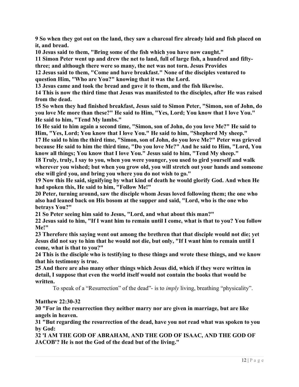9 So when they got out on the land, they saw a charcoal fire already laid and fish placed on it, and bread.

10 Jesus said to them, "Bring some of the fish which you have now caught."

11 Simon Peter went up and drew the net to land, full of large fish, a hundred and fifty-

three; and although there were so many, the net was not torn. Jesus Provides

12 Jesus said to them, "Come and have breakfast." None of the disciples ventured to question Him, "Who are You?" knowing that it was the Lord.

13 Jesus came and took the bread and gave it to them, and the fish likewise.

14 This is now the third time that Jesus was manifested to the disciples, after He was raised from the dead.

15 So when they had finished breakfast, Jesus said to Simon Peter, "Simon, son of John, do you love Me more than these?" He said to Him, "Yes, Lord; You know that I love You." He said to him, "Tend My lambs."

16 He said to him again a second time, "Simon, son of John, do you love Me?" He said to Him, "Yes, Lord; You know that I love You." He said to him, "Shepherd My sheep."

17 He said to him the third time, "Simon, son of John, do you love Me?" Peter was grieved because He said to him the third time, "Do you love Me?" And he said to Him, "Lord, You know all things; You know that I love You." Jesus said to him, "Tend My sheep."

18 Truly, truly, I say to you, when you were younger, you used to gird yourself and walk wherever you wished; but when you grow old, you will stretch out your hands and someone else will gird you, and bring you where you do not wish to go."

19 Now this He said, signifying by what kind of death he would glorify God. And when He had spoken this, He said to him, "Follow Me!"

20 Peter, turning around, saw the disciple whom Jesus loved following them; the one who also had leaned back on His bosom at the supper and said, "Lord, who is the one who betrays You?"

21 So Peter seeing him said to Jesus, "Lord, and what about this man?"

22 Jesus said to him, "If I want him to remain until I come, what is that to you? You follow Me!"

23 Therefore this saying went out among the brethren that that disciple would not die; yet Jesus did not say to him that he would not die, but only, "If I want him to remain until I come, what is that to you?"

24 This is the disciple who is testifying to these things and wrote these things, and we know that his testimony is true.

25 And there are also many other things which Jesus did, which if they were written in detail, I suppose that even the world itself would not contain the books that would be written.

To speak of a "Resurrection" of the dead"- is to imply living, breathing "physicality".

#### Matthew 22:30-32

30 "For in the resurrection they neither marry nor are given in marriage, but are like angels in heaven.

31 "But regarding the resurrection of the dead, have you not read what was spoken to you by God:

32 'I AM THE GOD OF ABRAHAM, AND THE GOD OF ISAAC, AND THE GOD OF JACOB'? He is not the God of the dead but of the living."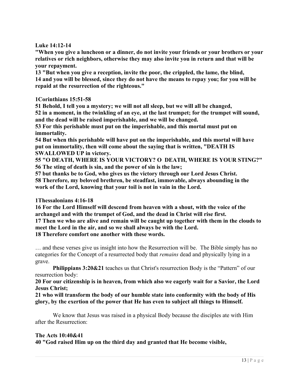Luke 14:12-14

"When you give a luncheon or a dinner, do not invite your friends or your brothers or your relatives or rich neighbors, otherwise they may also invite you in return and that will be your repayment.

13 "But when you give a reception, invite the poor, the crippled, the lame, the blind, 14 and you will be blessed, since they do not have the means to repay you; for you will be repaid at the resurrection of the righteous."

#### 1Corinthians 15:51-58

51 Behold, I tell you a mystery; we will not all sleep, but we will all be changed, 52 in a moment, in the twinkling of an eye, at the last trumpet; for the trumpet will sound, and the dead will be raised imperishable, and we will be changed.

53 For this perishable must put on the imperishable, and this mortal must put on immortality.

54 But when this perishable will have put on the imperishable, and this mortal will have put on immortality, then will come about the saying that is written, "DEATH IS SWALLOWED UP in victory.

55 "O DEATH, WHERE IS YOUR VICTORY? O DEATH, WHERE IS YOUR STING?" 56 The sting of death is sin, and the power of sin is the law;

57 but thanks be to God, who gives us the victory through our Lord Jesus Christ.

58 Therefore, my beloved brethren, be steadfast, immovable, always abounding in the work of the Lord, knowing that your toil is not in vain in the Lord.

#### 1Thessalonians 4:16-18

16 For the Lord Himself will descend from heaven with a shout, with the voice of the archangel and with the trumpet of God, and the dead in Christ will rise first. 17 Then we who are alive and remain will be caught up together with them in the clouds to meet the Lord in the air, and so we shall always be with the Lord. 18 Therefore comfort one another with these words.

… and these verses give us insight into how the Resurrection will be. The Bible simply has no categories for the Concept of a resurrected body that remains dead and physically lying in a grave.

Philippians 3:20&21 teaches us that Christ's resurrection Body is the "Pattern" of our resurrection body:

20 For our citizenship is in heaven, from which also we eagerly wait for a Savior, the Lord Jesus Christ;

21 who will transform the body of our humble state into conformity with the body of His glory, by the exertion of the power that He has even to subject all things to Himself.

We know that Jesus was raised in a physical Body because the disciples ate with Him after the Resurrection:

#### The Acts 10:40&41 40 "God raised Him up on the third day and granted that He become visible,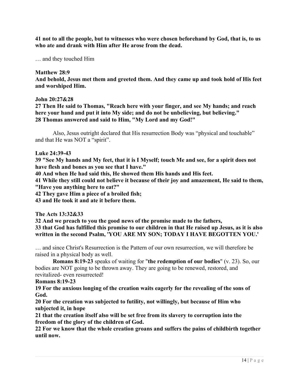41 not to all the people, but to witnesses who were chosen beforehand by God, that is, to us who ate and drank with Him after He arose from the dead.

… and they touched Him

#### Matthew 28:9

And behold, Jesus met them and greeted them. And they came up and took hold of His feet and worshiped Him.

#### John 20:27&28

27 Then He said to Thomas, "Reach here with your finger, and see My hands; and reach here your hand and put it into My side; and do not be unbelieving, but believing." 28 Thomas answered and said to Him, "My Lord and my God!"

Also, Jesus outright declared that His resurrection Body was "physical and touchable" and that He was NOT a "spirit".

#### Luke 24:39-43

39 "See My hands and My feet, that it is I Myself; touch Me and see, for a spirit does not have flesh and bones as you see that I have."

40 And when He had said this, He showed them His hands and His feet.

41 While they still could not believe it because of their joy and amazement, He said to them, "Have you anything here to eat?"

42 They gave Him a piece of a broiled fish;

43 and He took it and ate it before them.

#### The Acts 13:32&33

32 And we preach to you the good news of the promise made to the fathers, 33 that God has fulfilled this promise to our children in that He raised up Jesus, as it is also written in the second Psalm, 'YOU ARE MY SON; TODAY I HAVE BEGOTTEN YOU.'

… and since Christ's Resurrection is the Pattern of our own resurrection, we will therefore be raised in a physical body as well.

Romans 8:19-23 speaks of waiting for "the redemption of our bodies" (v. 23). So, our bodies are NOT going to be thrown away. They are going to be renewed, restored, and revitalized- even resurrected!

#### Romans 8:19-23

19 For the anxious longing of the creation waits eagerly for the revealing of the sons of God.

20 For the creation was subjected to futility, not willingly, but because of Him who subjected it, in hope

21 that the creation itself also will be set free from its slavery to corruption into the freedom of the glory of the children of God.

22 For we know that the whole creation groans and suffers the pains of childbirth together until now.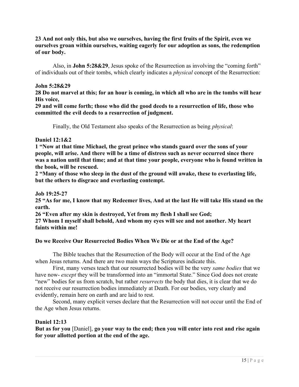## 23 And not only this, but also we ourselves, having the first fruits of the Spirit, even we ourselves groan within ourselves, waiting eagerly for our adoption as sons, the redemption of our body.

Also, in John 5:28&29, Jesus spoke of the Resurrection as involving the "coming forth" of individuals out of their tombs, which clearly indicates a physical concept of the Resurrection:

#### John 5:28&29

28 Do not marvel at this; for an hour is coming, in which all who are in the tombs will hear His voice,

29 and will come forth; those who did the good deeds to a resurrection of life, those who committed the evil deeds to a resurrection of judgment.

Finally, the Old Testament also speaks of the Resurrection as being physical:

#### Daniel 12:1&2

1 "Now at that time Michael, the great prince who stands guard over the sons of your people, will arise. And there will be a time of distress such as never occurred since there was a nation until that time; and at that time your people, everyone who is found written in the book, will be rescued.

2 "Many of those who sleep in the dust of the ground will awake, these to everlasting life, but the others to disgrace and everlasting contempt.

#### Job 19:25-27

25 "As for me, I know that my Redeemer lives, And at the last He will take His stand on the earth.

26 "Even after my skin is destroyed, Yet from my flesh I shall see God;

27 Whom I myself shall behold, And whom my eyes will see and not another. My heart faints within me!

#### Do we Receive Our Resurrected Bodies When We Die or at the End of the Age?

The Bible teaches that the Resurrection of the Body will occur at the End of the Age when Jesus returns. And there are two main ways the Scriptures indicate this.

First, many verses teach that our resurrected bodies will be the very same bodies that we have now- except they will be transformed into an "immortal State." Since God does not create "new" bodies for us from scratch, but rather *resurrects* the body that dies, it is clear that we do not receive our resurrection bodies immediately at Death. For our bodies, very clearly and evidently, remain here on earth and are laid to rest.

Second, many explicit verses declare that the Resurrection will not occur until the End of the Age when Jesus returns.

#### Daniel 12:13

But as for you [Daniel], go your way to the end; then you will enter into rest and rise again for your allotted portion at the end of the age.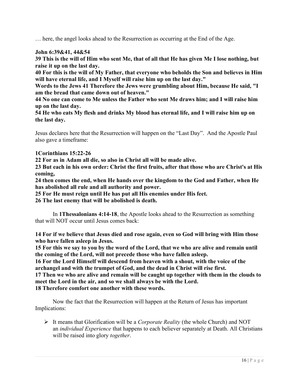… here, the angel looks ahead to the Resurrection as occurring at the End of the Age.

John 6:39&41, 44&54

39 This is the will of Him who sent Me, that of all that He has given Me I lose nothing, but raise it up on the last day.

40 For this is the will of My Father, that everyone who beholds the Son and believes in Him will have eternal life, and I Myself will raise him up on the last day."

Words to the Jews 41 Therefore the Jews were grumbling about Him, because He said, "I am the bread that came down out of heaven."

44 No one can come to Me unless the Father who sent Me draws him; and I will raise him up on the last day.

54 He who eats My flesh and drinks My blood has eternal life, and I will raise him up on the last day.

Jesus declares here that the Resurrection will happen on the "Last Day". And the Apostle Paul also gave a timeframe:

# 1Corinthians 15:22-26

22 For as in Adam all die, so also in Christ all will be made alive.

23 But each in his own order: Christ the first fruits, after that those who are Christ's at His coming,

24 then comes the end, when He hands over the kingdom to the God and Father, when He has abolished all rule and all authority and power.

25 For He must reign until He has put all His enemies under His feet.

26 The last enemy that will be abolished is death.

In 1Thessalonians 4:14-18, the Apostle looks ahead to the Resurrection as something that will NOT occur until Jesus comes back:

14 For if we believe that Jesus died and rose again, even so God will bring with Him those who have fallen asleep in Jesus.

15 For this we say to you by the word of the Lord, that we who are alive and remain until the coming of the Lord, will not precede those who have fallen asleep.

16 For the Lord Himself will descend from heaven with a shout, with the voice of the archangel and with the trumpet of God, and the dead in Christ will rise first.

17 Then we who are alive and remain will be caught up together with them in the clouds to meet the Lord in the air, and so we shall always be with the Lord.

18 Therefore comfort one another with these words.

Now the fact that the Resurrection will happen at the Return of Jesus has important Implications:

 $\triangleright$  It means that Glorification will be a *Corporate Reality* (the whole Church) and NOT an individual Experience that happens to each believer separately at Death. All Christians will be raised into glory *together*.